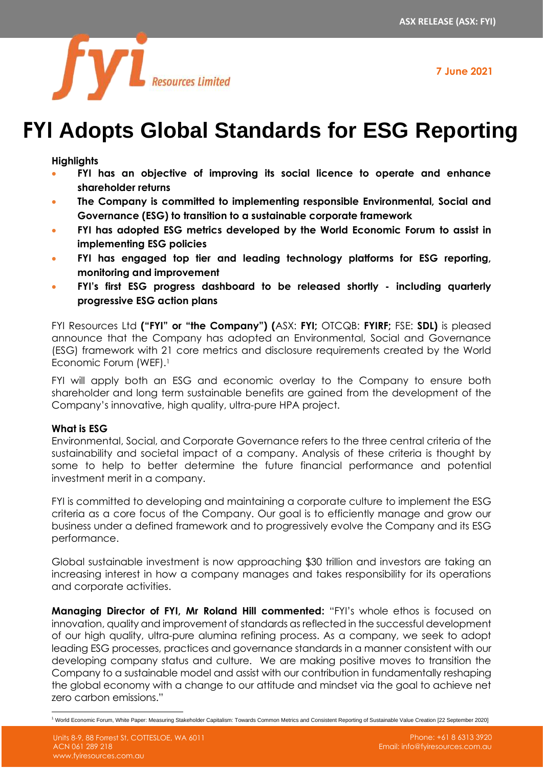**7 June 2021**



# **FYI Adopts Global Standards for ESG Reporting**

**Highlights**

- **FYI has an objective of improving its social licence to operate and enhance shareholder returns**
- **The Company is committed to implementing responsible Environmental, Social and Governance (ESG) to transition to a sustainable corporate framework**
- **FYI has adopted ESG metrics developed by the World Economic Forum to assist in implementing ESG policies**
- **FYI has engaged top tier and leading technology platforms for ESG reporting, monitoring and improvement**
- **FYI's first ESG progress dashboard to be released shortly - including quarterly progressive ESG action plans**

FYI Resources Ltd **("FYI" or "the Company") (**ASX: **FYI;** OTCQB: **FYIRF;** FSE: **SDL)** is pleased announce that the Company has adopted an Environmental, Social and Governance (ESG) framework with 21 core metrics and disclosure requirements created by the World Economic Forum (WEF).<sup>1</sup>

FYI will apply both an ESG and economic overlay to the Company to ensure both shareholder and long term sustainable benefits are gained from the development of the Company's innovative, high quality, ultra-pure HPA project.

### **What is ESG**

Environmental, Social, and Corporate Governance refers to the three central criteria of the sustainability and societal impact of a company. Analysis of these criteria is thought by some to help to better determine the future financial performance and potential investment merit in a company.

FYI is committed to developing and maintaining a corporate culture to implement the ESG criteria as a core focus of the Company. Our goal is to efficiently manage and grow our business under a defined framework and to progressively evolve the Company and its ESG performance.

Global sustainable investment is now approaching \$30 trillion and investors are taking an increasing interest in how a company manages and takes responsibility for its operations and corporate activities.

**Managing Director of FYI, Mr Roland Hill commented:** "FYI's whole ethos is focused on innovation, quality and improvement of standards as reflected in the successful development of our high quality, ultra-pure alumina refining process. As a company, we seek to adopt leading ESG processes, practices and governance standards in a manner consistent with our developing company status and culture. We are making positive moves to transition the Company to a sustainable model and assist with our contribution in fundamentally reshaping the global economy with a change to our attitude and mindset via the goal to achieve net zero carbon emissions."

<sup>&</sup>lt;sup>1</sup> World Economic Forum, White Paper: Measuring Stakeholder Capitalism: Towards Common Metrics and Consistent Reporting of Sustainable Value Creation [22 September 2020]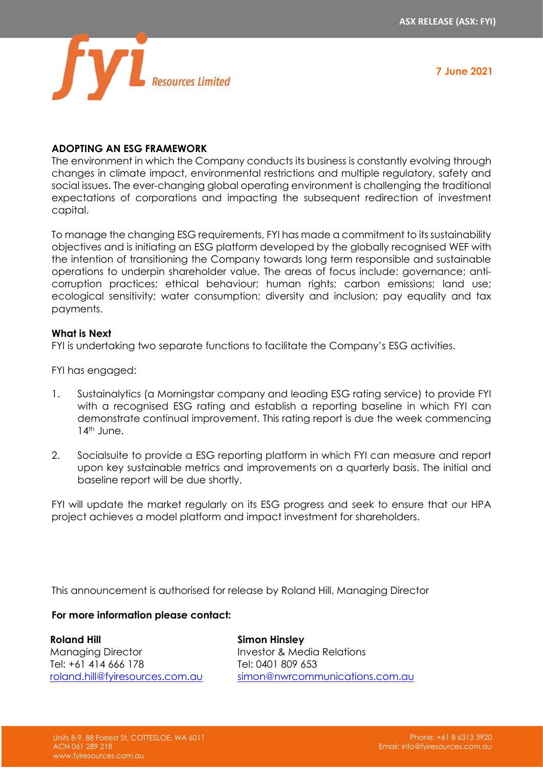

**7 June 2021**

# **ADOPTING AN ESG FRAMEWORK**

The environment in which the Company conducts its business is constantly evolving through changes in climate impact, environmental restrictions and multiple regulatory, safety and social issues. The ever-changing global operating environment is challenging the traditional expectations of corporations and impacting the subsequent redirection of investment capital.

To manage the changing ESG requirements, FYI has made a commitment to its sustainability objectives and is initiating an ESG platform developed by the globally recognised WEF with the intention of transitioning the Company towards long term responsible and sustainable operations to underpin shareholder value. The areas of focus include: governance; anticorruption practices; ethical behaviour; human rights; carbon emissions; land use; ecological sensitivity; water consumption; diversity and inclusion; pay equality and tax payments.

#### **What is Next**

FYI is undertaking two separate functions to facilitate the Company's ESG activities.

FYI has engaged:

- 1. Sustainalytics (a Morningstar company and leading ESG rating service) to provide FYI with a recognised ESG rating and establish a reporting baseline in which FYI can demonstrate continual improvement. This rating report is due the week commencing 14<sup>th</sup> June.
- 2. Socialsuite to provide a ESG reporting platform in which FYI can measure and report upon key sustainable metrics and improvements on a quarterly basis. The initial and baseline report will be due shortly.

FYI will update the market regularly on its ESG progress and seek to ensure that our HPA project achieves a model platform and impact investment for shareholders.

This announcement is authorised for release by Roland Hill, Managing Director

#### **For more information please contact:**

**Roland Hill** Managing Director Tel: +61 414 666 178 [roland.hill@fyiresources.com.au](mailto:roland.hill@fyiresources.com.au) **Simon Hinsley** Investor & Media Relations Tel: 0401 809 653 [simon@nwrcommunications.com.au](mailto:simon@nwrcommunications.com.au)